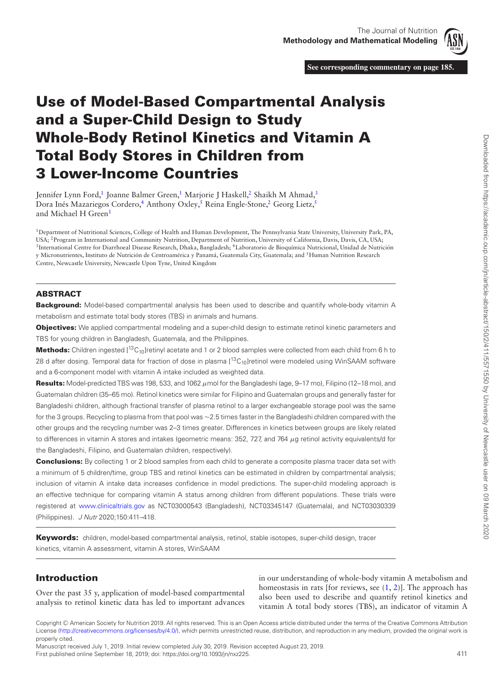

<span id="page-0-4"></span><span id="page-0-3"></span>**See corresponding commentary on page 185.**

# **Use of Model-Based Compartmental Analysis and a Super-Child Design to Study Whole-Body Retinol Kinetics and Vitamin A Total Body Stores in Children from 3 Lower-Income Countries**

Jennifer Lynn Ford,<sup>1</sup> Joanne Balmer Green,<sup>1</sup> Marjorie J Haskell,<sup>2</sup> Shaikh M Ahmad,<sup>3</sup> Dora Inés Mazariegos Cordero,<sup>4</sup> Anthony Oxley,<sup>5</sup> Reina Engle-Stone,<sup>2</sup> Georg Lietz,<sup>5</sup> and Michael H Green<sup>[1](#page-0-0)</sup>

<span id="page-0-2"></span><span id="page-0-1"></span><span id="page-0-0"></span>1Department of Nutritional Sciences, College of Health and Human Development, The Pennsylvania State University, University Park, PA, USA; 2Program in International and Community Nutrition, Department of Nutrition, University of California, Davis, Davis, CA, USA; <sup>3</sup>International Centre for Diarrhoeal Disease Research, Dhaka, Bangladesh; <sup>4</sup>Laboratorio de Bioquímica Nutricional, Unidad de Nutrición y Micronutrientes, Instituto de Nutrición de Centroamérica y Panamá, Guatemala City, Guatemala; and 5Human Nutrition Research Centre, Newcastle University, Newcastle Upon Tyne, United Kingdom

### **ABSTRACT**

**Background:** Model-based compartmental analysis has been used to describe and quantify whole-body vitamin A metabolism and estimate total body stores (TBS) in animals and humans.

**Objectives:** We applied compartmental modeling and a super-child design to estimate retinol kinetic parameters and TBS for young children in Bangladesh, Guatemala, and the Philippines.

**Methods:** Children ingested [<sup>13</sup>C<sub>10</sub>]retinyl acetate and 1 or 2 blood samples were collected from each child from 6 h to 28 d after dosing. Temporal data for fraction of dose in plasma  $[13C<sub>10</sub>]$ retinol were modeled using WinSAAM software and a 6-component model with vitamin A intake included as weighted data.

**Results:** Model-predicted TBS was 198, 533, and 1062 μmol for the Bangladeshi (age, 9–17 mo), Filipino (12–18 mo), and Guatemalan children (35–65 mo). Retinol kinetics were similar for Filipino and Guatemalan groups and generally faster for Bangladeshi children, although fractional transfer of plasma retinol to a larger exchangeable storage pool was the same for the 3 groups. Recycling to plasma from that pool was ∼2.5 times faster in the Bangladeshi children compared with the other groups and the recycling number was 2–3 times greater. Differences in kinetics between groups are likely related to differences in vitamin A stores and intakes (geometric means: 352, 727, and 764 μg retinol activity equivalents/d for the Bangladeshi, Filipino, and Guatemalan children, respectively).

**Conclusions:** By collecting 1 or 2 blood samples from each child to generate a composite plasma tracer data set with a minimum of 5 children/time, group TBS and retinol kinetics can be estimated in children by compartmental analysis; inclusion of vitamin A intake data increases confidence in model predictions. The super-child modeling approach is an effective technique for comparing vitamin A status among children from different populations. These trials were registered at [www.clinicaltrials.gov](http://www.clinicaltrials.gov) as NCT03000543 (Bangladesh), NCT03345147 (Guatemala), and NCT03030339 (Philippines). J Nutr 2020;150:411–418.

**Keywords:** children, model-based compartmental analysis, retinol, stable isotopes, super-child design, tracer kinetics, vitamin A assessment, vitamin A stores, WinSAAM

# **Introduction**

Over the past 35 y, application of model-based compartmental analysis to retinol kinetic data has led to important advances

in our understanding of whole-body vitamin A metabolism and homeostasis in rats [for reviews, see  $(1, 2)$  $(1, 2)$  $(1, 2)$ ]. The approach has also been used to describe and quantify retinol kinetics and vitamin A total body stores (TBS), an indicator of vitamin A

Manuscript received July 1, 2019. Initial review completed July 30, 2019. Revision accepted August 23, 2019. First published online September 18, 2019; doi: https://doi.org/10.1093/jn/nxz225. 411

Copyright <sup>C</sup> American Society for Nutrition 2019. All rights reserved. This is an Open Access article distributed under the terms of the Creative Commons Attribution License [\(http://creativecommons.org/licenses/by/4.0/\)](http://creativecommons.org/licenses/by/4.0/), which permits unrestricted reuse, distribution, and reproduction in any medium, provided the original work is properly cited.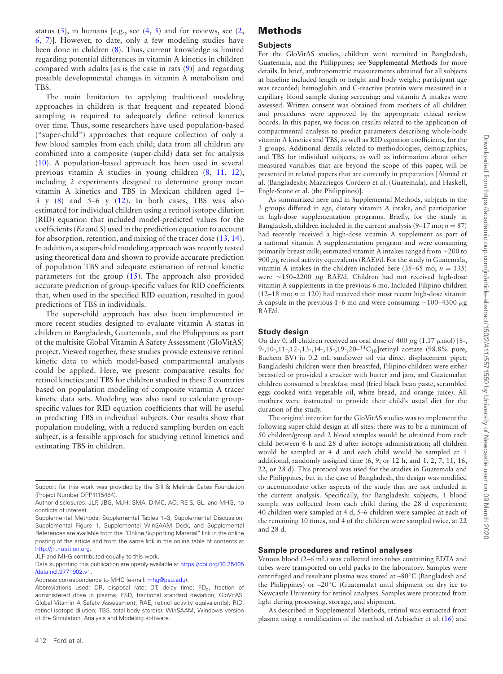status  $(3)$ , in humans [e.g., see  $(4, 5)$  $(4, 5)$  $(4, 5)$  and for reviews, see  $(2, 1)$  $(2, 1)$ [6,](#page-7-5) [7\)](#page-7-6)]. However, to date, only a few modeling studies have been done in children [\(8\)](#page-7-7). Thus, current knowledge is limited regarding potential differences in vitamin A kinetics in children compared with adults [as is the case in rats [\(9\)](#page-7-8)] and regarding possible developmental changes in vitamin A metabolism and TBS.

The main limitation to applying traditional modeling approaches in children is that frequent and repeated blood sampling is required to adequately define retinol kinetics over time. Thus, some researchers have used population-based ("super-child") approaches that require collection of only a few blood samples from each child; data from all children are combined into a composite (super-child) data set for analysis [\(10\)](#page-7-9). A population-based approach has been used in several previous vitamin A studies in young children [\(8,](#page-7-7) [11,](#page-7-10) [12\)](#page-7-11), including 2 experiments designed to determine group mean vitamin A kinetics and TBS in Mexican children aged 1–  $3 \text{ y } (8)$  $3 \text{ y } (8)$  and  $5-6 \text{ y } (12)$  $5-6 \text{ y } (12)$ . In both cases, TBS was also estimated for individual children using a retinol isotope dilution (RID) equation that included model-predicted values for the coefficients (*Fa* and *S*) used in the prediction equation to account for absorption, retention, and mixing of the tracer dose [\(13,](#page-7-12) [14\)](#page-7-13). In addition, a super-child modeling approach was recently tested using theoretical data and shown to provide accurate prediction of population TBS and adequate estimation of retinol kinetic parameters for the group [\(15\)](#page-7-14). The approach also provided accurate prediction of group-specific values for RID coefficients that, when used in the specified RID equation, resulted in good predictions of TBS in individuals.

The super-child approach has also been implemented in more recent studies designed to evaluate vitamin A status in children in Bangladesh, Guatemala, and the Philippines as part of the multisite Global Vitamin A Safety Assessment (GloVitAS) project. Viewed together, these studies provide extensive retinol kinetic data to which model-based compartmental analysis could be applied. Here, we present comparative results for retinol kinetics and TBS for children studied in these 3 countries based on population modeling of composite vitamin A tracer kinetic data sets. Modeling was also used to calculate groupspecific values for RID equation coefficients that will be useful in predicting TBS in individual subjects. Our results show that population modeling, with a reduced sampling burden on each subject, is a feasible approach for studying retinol kinetics and estimating TBS in children.

[Data supporting this publication are openly available at](https://doi.org/10.25405/data.ncl.9771902.v1) https://doi.org/10.25405 /data.ncl.9771902.v1.

Address correspondence to MHG (e-mail: [mhg@psu.edu\)](mailto:mhg@psu.edu).

## **Methods**

#### **Subjects**

For the GloVitAS studies, children were recruited in Bangladesh, Guatemala, and the Philippines; see **Supplemental Methods** for more details. In brief, anthropometric measurements obtained for all subjects at baseline included length or height and body weight; participant age was recorded; hemoglobin and C-reactive protein were measured in a capillary blood sample during screening; and vitamin A intakes were assessed. Written consent was obtained from mothers of all children and procedures were approved by the appropriate ethical review boards. In this paper, we focus on results related to the application of compartmental analysis to predict parameters describing whole-body vitamin A kinetics and TBS, as well as RID equation coefficients, for the 3 groups. Additional details related to methodologies, demographics, and TBS for individual subjects, as well as information about other measured variables that are beyond the scope of this paper, will be presented in related papers that are currently in preparation [Ahmad et al. (Bangladesh); Mazariegos Cordero et al. (Guatemala), and Haskell, Engle-Stone et al. (the Philippines)].

As summarized here and in Supplemental Methods, subjects in the 3 groups differed in age, dietary vitamin A intake, and participation in high-dose supplementation programs. Briefly, for the study in Bangladesh, children included in the current analysis  $(9-17 \text{ mo}; n = 87)$ had recently received a high-dose vitamin A supplement as part of a national vitamin A supplementation program and were consuming primarily breast milk; estimated vitamin A intakes ranged from ∼200 to 900  $\mu$ g retinol activity equivalents (RAE)/d. For the study in Guatemala, vitamin A intakes in the children included here  $(35-65 \text{ mo}; n = 135)$ were ∼150–2200 μg RAE/d. Children had not received high-dose vitamin A supplements in the previous 6 mo. Included Filipino children (12–18 mo;  $n = 120$ ) had received their most recent high-dose vitamin A capsule in the previous 1–6 mo and were consuming  $\sim$ 100–4300  $\mu$ g RAE/d.

#### **Study design**

On day 0, all children received an oral dose of 400  $\mu$ g (1.17  $\mu$ mol) [8-, 9-,10-,11-,12-,13-,14-,15-,19-,20-<sup>13</sup>C<sub>10</sub>]retinyl acetate (98.8% pure; Buchem BV) in 0.2 mL sunflower oil via direct displacement pipet; Bangladeshi children were then breastfed, Filipino children were either breastfed or provided a cracker with butter and jam, and Guatemalan children consumed a breakfast meal (fried black bean paste, scrambled eggs cooked with vegetable oil, white bread, and orange juice). All mothers were instructed to provide their child's usual diet for the duration of the study.

The original intention for the GloVitAS studies was to implement the following super-child design at all sites: there was to be a minimum of 50 children/group and 2 blood samples would be obtained from each child between 6 h and 28 d after isotope administration; all children would be sampled at 4 d and each child would be sampled at 1 additional, randomly assigned time (6, 9, or 12 h, and 1, 2, 7, 11, 16, 22, or 28 d). This protocol was used for the studies in Guatemala and the Philippines, but in the case of Bangladesh, the design was modified to accommodate other aspects of the study that are not included in the current analysis. Specifically, for Bangladeshi subjects, 1 blood sample was collected from each child during the 28 d experiment; 40 children were sampled at 4 d, 5–6 children were sampled at each of the remaining 10 times, and 4 of the children were sampled twice, at 22 and 28 d.

#### **Sample procedures and retinol analyses**

Venous blood (2–6 mL) was collected into tubes containing EDTA and tubes were transported on cold packs to the laboratory. Samples were centrifuged and resultant plasma was stored at –80◦C (Bangladesh and the Philippines) or –20◦C (Guatemala) until shipment on dry ice to Newcastle University for retinol analyses. Samples were protected from light during processing, storage, and shipment.

As described in Supplemental Methods, retinol was extracted from plasma using a modification of the method of Aebischer et al. [\(16\)](#page-7-15) and

Support for this work was provided by the Bill & Melinda Gates Foundation (Project Number OPP1115464).

Author disclosures: JLF, JBG, MJH, SMA, DIMC, AO, RE-S, GL, and MHG, no conflicts of interest.

Supplemental Methods, Supplemental Tables 1–3, Supplemental Discussion, Supplemental Figure 1, Supplemental WinSAAM Deck, and Supplemental References are available from the "Online Supporting Material" link in the online posting of the article and from the same link in the online table of contents at [http://jn.nutrition.org.](http://jn.nutrition.org)

JLF and MHG contributed equally to this work.

Abbreviations used: DR, disposal rate; DT, delay time;  $FD<sub>p</sub>$ , fraction of administered dose in plasma; FSD, fractional standard deviation; GloVitAS, Global Vitamin A Safety Assessment; RAE, retinol activity equivalent(s); RID, retinol isotope dilution; TBS, total body store(s); WinSAAM, Windows version of the Simulation, Analysis and Modeling software.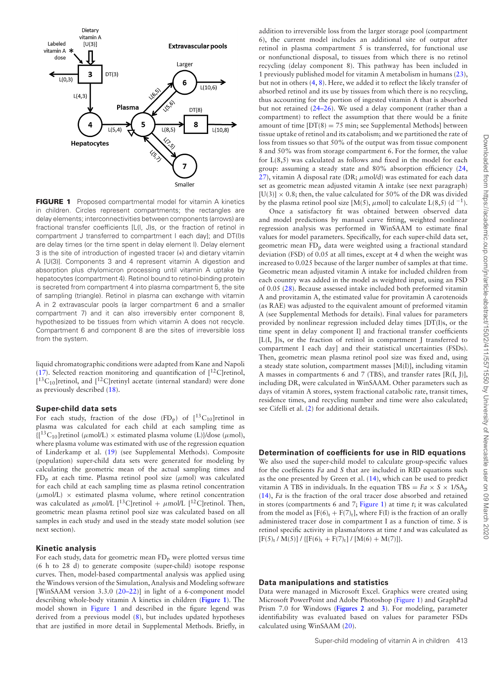<span id="page-2-0"></span>

**FIGURE 1** Proposed compartmental model for vitamin A kinetics in children. Circles represent compartments; the rectangles are delay elements; interconnectivities between components (arrows) are fractional transfer coefficients [L(I, J)s, or the fraction of retinol in compartment J transferred to compartment I each day]; and DT(I)s are delay times (or the time spent in delay element I). Delay element 3 is the site of introduction of ingested tracer (∗) and dietary vitamin A [U(3)]. Components 3 and 4 represent vitamin A digestion and absorption plus chylomicron processing until vitamin A uptake by hepatocytes (compartment 4). Retinol bound to retinol-binding protein is secreted from compartment 4 into plasma compartment 5, the site of sampling (triangle). Retinol in plasma can exchange with vitamin A in 2 extravascular pools (a larger compartment 6 and a smaller compartment 7) and it can also irreversibly enter component 8, hypothesized to be tissues from which vitamin A does not recycle. Compartment 6 and component 8 are the sites of irreversible loss from the system.

liquid chromatographic conditions were adapted from Kane and Napoli [\(17\)](#page-7-16). Selected reaction monitoring and quantification of  $[12C]$ retinol,  $[{}^{13}C_{10}]$ retinol, and  $[{}^{12}C]$ retinyl acetate (internal standard) were done as previously described [\(18\)](#page-7-17).

#### **Super-child data sets**

For each study, fraction of the dose  $(FD_p)$  of  $[^{13}C_{10}]$  retinol in plasma was calculated for each child at each sampling time as  ${[^{13}C_{10}]$ retinol ( $\mu$ mol/L) × estimated plasma volume (L)}/dose ( $\mu$ mol), where plasma volume was estimated with use of the regression equation of Linderkamp et al. [\(19\)](#page-7-18) (see Supplemental Methods). Composite (population) super-child data sets were generated for modeling by calculating the geometric mean of the actual sampling times and  $FD<sub>p</sub>$  at each time. Plasma retinol pool size ( $\mu$ mol) was calculated for each child at each sampling time as plasma retinol concentration  $(\mu \text{mol/L}) \times$  estimated plasma volume, where retinol concentration was calculated as  $\mu$ mol/L [<sup>13</sup>C]retinol +  $\mu$ mol/L [<sup>12</sup>C]retinol. Then, geometric mean plasma retinol pool size was calculated based on all samples in each study and used in the steady state model solution (see next section).

#### **Kinetic analysis**

For each study, data for geometric mean  $FD<sub>p</sub>$  were plotted versus time (6 h to 28 d) to generate composite (super-child) isotope response curves. Then, model-based compartmental analysis was applied using the Windows version of the Simulation, Analysis and Modeling software [WinSAAM version 3.3.0 [\(20–22\)](#page-7-19)] in light of a 6-component model describing whole-body vitamin A kinetics in children (**[Figure 1](#page-2-0)**). The model shown in [Figure 1](#page-2-0) and described in the figure legend was derived from a previous model [\(8\)](#page-7-7), but includes updated hypotheses that are justified in more detail in Supplemental Methods. Briefly, in

addition to irreversible loss from the larger storage pool (compartment 6), the current model includes an additional site of output after retinol in plasma compartment 5 is transferred, for functional use or nonfunctional disposal, to tissues from which there is no retinol recycling (delay component 8). This pathway has been included in 1 previously published model for vitamin A metabolism in humans [\(23\)](#page-7-20), but not in others [\(4,](#page-7-3) [8\)](#page-7-7). Here, we added it to reflect the likely transfer of absorbed retinol and its use by tissues from which there is no recycling, thus accounting for the portion of ingested vitamin A that is absorbed but not retained [\(24–26\)](#page-7-21). We used a delay component (rather than a compartment) to reflect the assumption that there would be a finite amount of time  $[DT(8) = 75$  min; see Supplemental Methods] between tissue uptake of retinol and its catabolism; and we partitioned the rate of loss from tissues so that 50% of the output was from tissue component 8 and 50% was from storage compartment 6. For the former, the value for L(8,5) was calculated as follows and fixed in the model for each group: assuming a steady state and 80% absorption efficiency [\(24,](#page-7-21) [27\)](#page-7-22), vitamin A disposal rate (DR;  $\mu$ mol/d) was estimated for each data set as geometric mean adjusted vitamin A intake (see next paragraph) [U(3)]  $\times$  0.8; then, the value calculated for 50% of the DR was divided by the plasma retinol pool size [M(5),  $\mu$ mol] to calculate L(8,5) (d<sup>-1</sup>).

Once a satisfactory fit was obtained between observed data and model predictions by manual curve fitting, weighted nonlinear regression analysis was performed in WinSAAM to estimate final values for model parameters. Specifically, for each super-child data set, geometric mean FDp data were weighted using a fractional standard deviation (FSD) of 0.05 at all times, except at 4 d when the weight was increased to 0.025 because of the larger number of samples at that time. Geometric mean adjusted vitamin A intake for included children from each country was added in the model as weighted input, using an FSD of 0.05 [\(28\)](#page-7-23). Because assessed intake included both preformed vitamin A and provitamin A, the estimated value for provitamin A carotenoids (as RAE) was adjusted to the equivalent amount of preformed vitamin A (see Supplemental Methods for details). Final values for parameters provided by nonlinear regression included delay times [DT(I)s, or the time spent in delay component I] and fractional transfer coefficients [L(I, J)s, or the fraction of retinol in compartment J transferred to compartment I each day] and their statistical uncertainties (FSDs). Then, geometric mean plasma retinol pool size was fixed and, using a steady state solution, compartment masses [M(I)], including vitamin A masses in compartments 6 and 7 (TBS), and transfer rates [R(I, J)], including DR, were calculated in WinSAAM. Other parameters such as days of vitamin A stores, system fractional catabolic rate, transit times, residence times, and recycling number and time were also calculated; see Cifelli et al. [\(2\)](#page-7-1) for additional details.

#### **Determination of coefficients for use in RID equations**

We also used the super-child model to calculate group-specific values for the coefficients *Fa* and *S* that are included in RID equations such as the one presented by Green et al. [\(14\)](#page-7-13), which can be used to predict vitamin A TBS in individuals. In the equation TBS =  $Fa \times S \times 1/SA_p$ [\(14\)](#page-7-13), *Fa* is the fraction of the oral tracer dose absorbed and retained in stores (compartments 6 and 7; [Figure 1\)](#page-2-0) at time *t*; it was calculated from the model as  $[F(6)_t + F(7)_t]$ , where  $F(I)$  is the fraction of an orally administered tracer dose in compartment I as a function of time. *S* is retinol specific activity in plasma/stores at time *t* and was calculated as  $[F(5)_t / M(5)] / { [F(6)_t + F(7)_t] / [M(6) + M(7)] }.$ 

#### **Data manipulations and statistics**

Data were managed in Microsoft Excel. Graphics were created using Microsoft PowerPoint and Adobe Photoshop [\(Figure 1\)](#page-2-0) and GraphPad Prism 7.0 for Windows (**[Figures 2](#page-3-0)** and **[3](#page-3-1)**). For modeling, parameter identifiability was evaluated based on values for parameter FSDs calculated using WinSAAM [\(20\)](#page-7-19).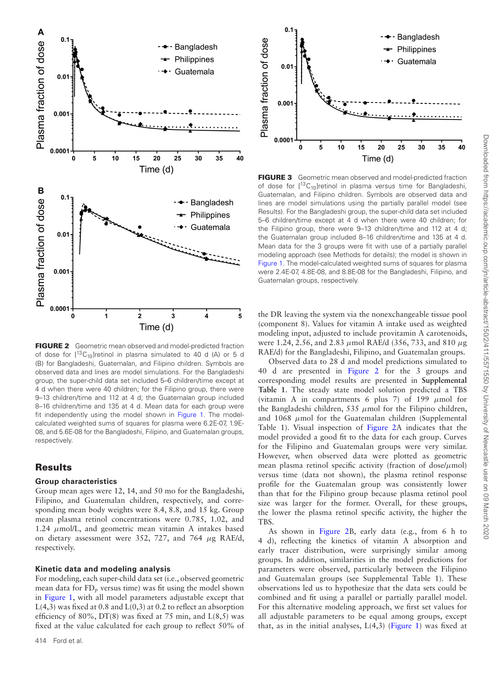<span id="page-3-0"></span>

**FIGURE 2** Geometric mean observed and model-predicted fraction of dose for  $[^{13}C_{10}]$ retinol in plasma simulated to 40 d (A) or 5 d (B) for Bangladeshi, Guatemalan, and Filipino children. Symbols are observed data and lines are model simulations. For the Bangladeshi group, the super-child data set included 5–6 children/time except at 4 d when there were 40 children; for the Filipino group, there were 9–13 children/time and 112 at 4 d; the Guatemalan group included 8–16 children/time and 135 at 4 d. Mean data for each group were fit independently using the model shown in [Figure 1.](#page-2-0) The modelcalculated weighted sums of squares for plasma were 6.2E-07, 1.9E-08, and 5.6E-08 for the Bangladeshi, Filipino, and Guatemalan groups, respectively.

### **Results**

#### **Group characteristics**

Group mean ages were 12, 14, and 50 mo for the Bangladeshi, Filipino, and Guatemalan children, respectively, and corresponding mean body weights were 8.4, 8.8, and 15 kg. Group mean plasma retinol concentrations were 0.785, 1.02, and 1.24  $\mu$ mol/L, and geometric mean vitamin A intakes based on dietary assessment were 352, 727, and 764 μg RAE/d, respectively.

#### **Kinetic data and modeling analysis**

For modeling, each super-child data set (i.e., observed geometric mean data for  $FD_p$  versus time) was fit using the model shown in [Figure 1,](#page-2-0) with all model parameters adjustable except that  $L(4,3)$  was fixed at 0.8 and  $L(0,3)$  at 0.2 to reflect an absorption efficiency of 80%,  $DT(8)$  was fixed at 75 min, and  $L(8,5)$  was fixed at the value calculated for each group to reflect 50% of

<span id="page-3-1"></span>

**FIGURE 3** Geometric mean observed and model-predicted fraction of dose for  $[{}^{13}C_{10}]$ retinol in plasma versus time for Bangladeshi, Guatemalan, and Filipino children. Symbols are observed data and lines are model simulations using the partially parallel model (see Results). For the Bangladeshi group, the super-child data set included 5–6 children/time except at 4 d when there were 40 children; for the Filipino group, there were 9–13 children/time and 112 at 4 d; the Guatemalan group included 8–16 children/time and 135 at 4 d. Mean data for the 3 groups were fit with use of a partially parallel modeling approach (see Methods for details); the model is shown in [Figure 1.](#page-2-0) The model-calculated weighted sums of squares for plasma were 2.4E-07, 4.8E-08, and 8.8E-08 for the Bangladeshi, Filipino, and Guatemalan groups, respectively.

the DR leaving the system via the nonexchangeable tissue pool (component 8). Values for vitamin A intake used as weighted modeling input, adjusted to include provitamin A carotenoids, were 1.24, 2.56, and 2.83  $\mu$ mol RAE/d (356, 733, and 810  $\mu$ g RAE/d) for the Bangladeshi, Filipino, and Guatemalan groups.

Observed data to 28 d and model predictions simulated to 40 d are presented in [Figure 2](#page-3-0) for the 3 groups and corresponding model results are presented in **Supplemental Table 1**. The steady state model solution predicted a TBS (vitamin A in compartments 6 plus 7) of 199  $\mu$ mol for the Bangladeshi children,  $535 \mu$ mol for the Filipino children, and  $1068$   $\mu$ mol for the Guatemalan children (Supplemental Table 1). Visual inspection of [Figure 2A](#page-3-0) indicates that the model provided a good fit to the data for each group. Curves for the Filipino and Guatemalan groups were very similar. However, when observed data were plotted as geometric mean plasma retinol specific activity (fraction of dose/ $\mu$ mol) versus time (data not shown), the plasma retinol response profile for the Guatemalan group was consistently lower than that for the Filipino group because plasma retinol pool size was larger for the former. Overall, for these groups, the lower the plasma retinol specific activity, the higher the TBS.

As shown in [Figure 2B](#page-3-0), early data (e.g., from 6 h to 4 d), reflecting the kinetics of vitamin A absorption and early tracer distribution, were surprisingly similar among groups. In addition, similarities in the model predictions for parameters were observed, particularly between the Filipino and Guatemalan groups (see Supplemental Table 1). These observations led us to hypothesize that the data sets could be combined and fit using a parallel or partially parallel model. For this alternative modeling approach, we first set values for all adjustable parameters to be equal among groups, except that, as in the initial analyses,  $L(4,3)$  [\(Figure 1\)](#page-2-0) was fixed at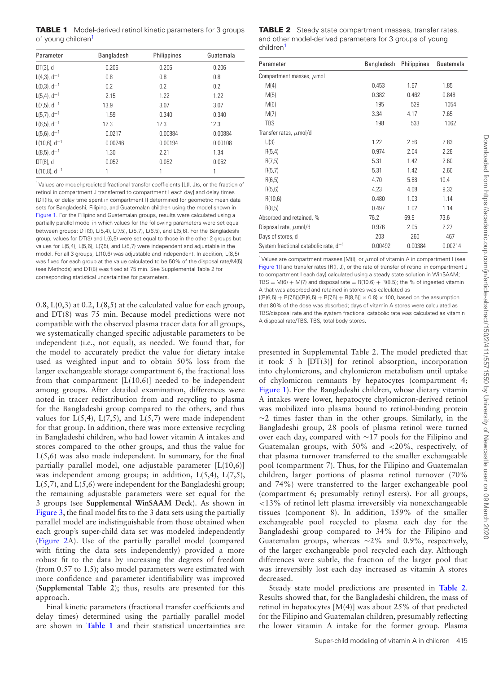<span id="page-4-1"></span>**TABLE 1** Model-derived retinol kinetic parameters for 3 groups of young children<sup>[1](#page-4-0)</sup>

| Parameter                   | <b>Bangladesh</b> | Philippines | Guatemala |
|-----------------------------|-------------------|-------------|-----------|
| $DT(3)$ , d                 | 0.206             | 0.206       | 0.206     |
| $L(4,3)$ , d <sup>-1</sup>  | 0.8               | 0.8         | 0.8       |
| $L(0,3)$ , $d^{-1}$         | 0.2               | 0.2         | 0.2       |
| $L(5,4)$ , d <sup>-1</sup>  | 2.15              | 1.22        | 1.22      |
| $L(7,5)$ , d <sup>-1</sup>  | 13.9              | 3.07        | 3.07      |
| $L(5,7), d^{-1}$            | 1.59              | 0.340       | 0.340     |
| $L(6,5)$ , d <sup>-1</sup>  | 12.3              | 12.3        | 12.3      |
| $L(5,6)$ , $d^{-1}$         | 0.0217            | 0.00884     | 0.00884   |
| $L(10,6)$ , d <sup>-1</sup> | 0.00246           | 0.00194     | 0.00108   |
| $L(8,5), d^{-1}$            | 1.30              | 2.21        | 1.34      |
| DT(8), d                    | 0.052             | 0.052       | 0.052     |
| $L(10,8)$ , d <sup>-1</sup> |                   | 1           | 1         |

<span id="page-4-0"></span>1Values are model-predicted fractional transfer coefficients [L(I, J)s, or the fraction of retinol in compartment J transferred to compartment I each day] and delay times [DT(I)s, or delay time spent in compartment I] determined for geometric mean data sets for Bangladeshi, Filipino, and Guatemalan children using the model shown in [Figure 1.](#page-2-0) For the Filipino and Guatemalan groups, results were calculated using a partially parallel model in which values for the following parameters were set equal between groups: DT(3), L(5,4), L(7,5), L(5,7), L(6,5), and L(5,6). For the Bangladeshi group, values for DT(3) and L(6,5) were set equal to those in the other 2 groups but values for L(5,4), L(5,6), L(7,5), and L(5,7) were independent and adjustable in the model. For all 3 groups, L(10,6) was adjustable and independent. In addition, L(8,5) was fixed for each group at the value calculated to be 50% of the disposal rate/M(5) (see Methods) and DT(8) was fixed at 75 min. See Supplemental Table 2 for corresponding statistical uncertainties for parameters.

 $(0.8, L(0,3))$  at  $(0.2, L(8,5))$  at the calculated value for each group, and DT(8) was 75 min. Because model predictions were not compatible with the observed plasma tracer data for all groups, we systematically changed specific adjustable parameters to be independent (i.e., not equal), as needed. We found that, for the model to accurately predict the value for dietary intake used as weighted input and to obtain 50% loss from the larger exchangeable storage compartment 6, the fractional loss from that compartment  $[L(10,6)]$  needed to be independent among groups. After detailed examination, differences were noted in tracer redistribution from and recycling to plasma for the Bangladeshi group compared to the others, and thus values for  $L(5,4)$ ,  $L(7,5)$ , and  $L(5,7)$  were made independent for that group. In addition, there was more extensive recycling in Bangladeshi children, who had lower vitamin A intakes and stores compared to the other groups, and thus the value for  $L(5,6)$  was also made independent. In summary, for the final partially parallel model, one adjustable parameter [L(10,6)] was independent among groups; in addition, L(5,4), L(7,5),  $L(5,7)$ , and  $L(5,6)$  were independent for the Bangladeshi group; the remaining adjustable parameters were set equal for the 3 groups (see **Supplemental WinSAAM Deck**). As shown in [Figure 3,](#page-3-1) the final model fits to the 3 data sets using the partially parallel model are indistinguishable from those obtained when each group's super-child data set was modeled independently [\(Figure 2A](#page-3-0)). Use of the partially parallel model (compared with fitting the data sets independently) provided a more robust fit to the data by increasing the degrees of freedom (from 0.57 to 1.5); also model parameters were estimated with more confidence and parameter identifiability was improved (**Supplemental Table 2**); thus, results are presented for this approach.

Final kinetic parameters (fractional transfer coefficients and delay times) determined using the partially parallel model are shown in **[Table 1](#page-4-1)** and their statistical uncertainties are

<span id="page-4-3"></span>**TABLE 2** Steady state compartment masses, transfer rates, and other model-derived parameters for 3 groups of young childre[n1](#page-4-2)

| Parameter                                  | Bangladesh | Philippines | Guatemala |
|--------------------------------------------|------------|-------------|-----------|
| Compartment masses, $\mu$ mol              |            |             |           |
| M(4)                                       | 0.453      | 1.67        | 1.85      |
| M(5)                                       | 0.382      | 0.462       | 0.848     |
| M(6)                                       | 195        | 529         | 1054      |
| M(7)                                       | 3.34       | 4.17        | 7.65      |
| <b>TBS</b>                                 | 198        | 533         | 1062      |
| Transfer rates, $\mu$ mol/d                |            |             |           |
| U(3)                                       | 1.22       | 2.56        | 2.83      |
| R(5,4)                                     | 0.974      | 2.04        | 2.26      |
| R(7,5)                                     | 5.31       | 1.42        | 2.60      |
| R(5,7)                                     | 5.31       | 1.42        | 2.60      |
| R(6,5)                                     | 4.70       | 5.68        | 10.4      |
| R(5,6)                                     | 4.23       | 4.68        | 9.32      |
| R(10,6)                                    | 0.480      | 1.03        | 1.14      |
| R(8,5)                                     | 0.497      | 1.02        | 1.14      |
| Absorbed and retained, %                   | 76.2       | 69.9        | 73.6      |
| Disposal rate, $\mu$ mol/d                 | 0.976      | 2.05        | 2.27      |
| Days of stores, d                          | 203        | 260         | 467       |
| System fractional catabolic rate, $d^{-1}$ | 0.00492    | 0.00384     | 0.00214   |

<span id="page-4-2"></span><sup>1</sup>Values are compartment masses  $[M(II)]$ , or  $\mu$ mol of vitamin A in compartment I (see [Figure 1\)](#page-2-0)] and transfer rates [R(I, J), or the rate of transfer of retinol in compartment J to compartment I each day] calculated using a steady state solution in WinSAAM; TBS =  $M(6) + M(7)$  and disposal rate = R(10,6) + R(8,5); the % of ingested vitamin A that was absorbed and retained in stores was calculated as

 ${([R(6,5) + R(7,5)] / [R(6,5) + R(7,5) + R(8,5)] \times 0.8} \times 100$ , based on the assumption that 80% of the dose was absorbed; days of vitamin A stores were calculated as TBS/disposal rate and the system fractional catabolic rate was calculated as vitamin A disposal rate/TBS. TBS, total body stores.

presented in Supplemental Table 2. The model predicted that it took 5 h [DT(3)] for retinol absorption, incorporation into chylomicrons, and chylomicron metabolism until uptake of chylomicron remnants by hepatocytes (compartment 4; [Figure 1\)](#page-2-0). For the Bangladeshi children, whose dietary vitamin A intakes were lower, hepatocyte chylomicron-derived retinol was mobilized into plasma bound to retinol-binding protein ∼2 times faster than in the other groups. Similarly, in the Bangladeshi group, 28 pools of plasma retinol were turned over each day, compared with ∼17 pools for the Filipino and Guatemalan groups, with 50% and <20%, respectively, of that plasma turnover transferred to the smaller exchangeable pool (compartment 7). Thus, for the Filipino and Guatemalan children, larger portions of plasma retinol turnover (70% and 74%) were transferred to the larger exchangeable pool (compartment 6; presumably retinyl esters). For all groups, <13% of retinol left plasma irreversibly via nonexchangeable tissues (component 8). In addition, 159% of the smaller exchangeable pool recycled to plasma each day for the Bangladeshi group compared to 34% for the Filipino and Guatemalan groups, whereas ∼2% and 0.9%, respectively, of the larger exchangeable pool recycled each day. Although differences were subtle, the fraction of the larger pool that was irreversibly lost each day increased as vitamin A stores decreased.

Steady state model predictions are presented in **[Table 2](#page-4-3)**. Results showed that, for the Bangladeshi children, the mass of retinol in hepatocytes [M(4)] was about 25% of that predicted for the Filipino and Guatemalan children, presumably reflecting the lower vitamin A intake for the former group. Plasma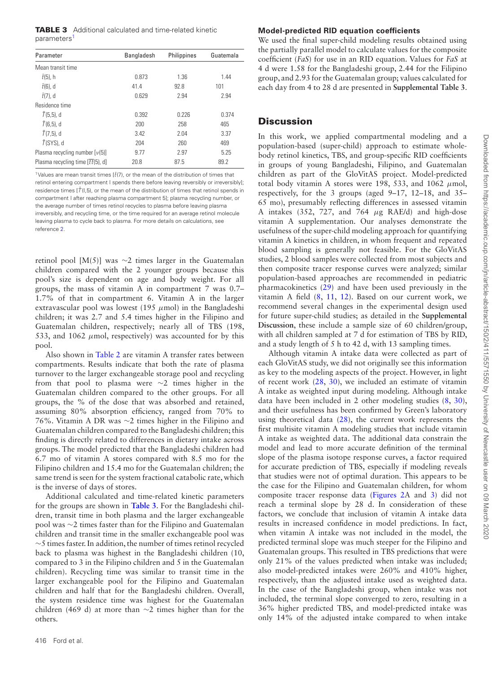<span id="page-5-1"></span>

| Parameter                          | <b>Bangladesh</b> | Philippines | Guatemala |
|------------------------------------|-------------------|-------------|-----------|
| Mean transit time                  |                   |             |           |
| $\bar{t}$ (5), h                   | 0.873             | 1.36        | 1.44      |
| $\bar{t}$ (6), d                   | 41.4              | 92.8        | 101       |
| $\bar{t}$ (7), d                   | 0.629             | 2.94        | 2.94      |
| Residence time                     |                   |             |           |
| $T(5,5)$ , d                       | 0.392             | 0.226       | 0.374     |
| $T(6,5)$ , d                       | 200               | 258         | 465       |
| $T(7,5)$ , d                       | 3.42              | 2.04        | 3.37      |
| $\bar{T}$ (SYS), d                 | 204               | 260         | 469       |
| Plasma recycling number $[v(5)]$   | 9.77              | 2.97        | 5.25      |
| Plasma recycling time $[tt(5), d]$ | 20.8              | 87.5        | 89.2      |

<span id="page-5-0"></span><sup>1</sup>Values are mean transit times  $[\bar{t}(7)]$ , or the mean of the distribution of times that retinol entering compartment I spends there before leaving reversibly or irreversibly]; residence times [ $\overline{T}$ (I,5), or the mean of the distribution of times that retinol spends in compartment I after reaching plasma compartment 5]; plasma recycling number, or the average number of times retinol recycles to plasma before leaving plasma irreversibly, and recycling time, or the time required for an average retinol molecule leaving plasma to cycle back to plasma. For more details on calculations, see reference [2.](#page-7-1)

retinol pool [M(5)] was ∼2 times larger in the Guatemalan children compared with the 2 younger groups because this pool's size is dependent on age and body weight. For all groups, the mass of vitamin A in compartment 7 was 0.7– 1.7% of that in compartment 6. Vitamin A in the larger extravascular pool was lowest (195  $\mu$ mol) in the Bangladeshi children; it was 2.7 and 5.4 times higher in the Filipino and Guatemalan children, respectively; nearly all of TBS (198, 533, and 1062  $\mu$ mol, respectively) was accounted for by this pool.

Also shown in [Table 2](#page-4-3) are vitamin A transfer rates between compartments. Results indicate that both the rate of plasma turnover to the larger exchangeable storage pool and recycling from that pool to plasma were ∼2 times higher in the Guatemalan children compared to the other groups. For all groups, the % of the dose that was absorbed and retained, assuming 80% absorption efficiency, ranged from 70% to 76%. Vitamin A DR was ∼2 times higher in the Filipino and Guatemalan children compared to the Bangladeshi children; this finding is directly related to differences in dietary intake across groups. The model predicted that the Bangladeshi children had 6.7 mo of vitamin A stores compared with 8.5 mo for the Filipino children and 15.4 mo for the Guatemalan children; the same trend is seen for the system fractional catabolic rate, which is the inverse of days of stores.

Additional calculated and time-related kinetic parameters for the groups are shown in **[Table 3](#page-5-1)**. For the Bangladeshi children, transit time in both plasma and the larger exchangeable pool was ∼2 times faster than for the Filipino and Guatemalan children and transit time in the smaller exchangeable pool was ∼5 times faster. In addition, the number of times retinol recycled back to plasma was highest in the Bangladeshi children (10, compared to 3 in the Filipino children and 5 in the Guatemalan children). Recycling time was similar to transit time in the larger exchangeable pool for the Filipino and Guatemalan children and half that for the Bangladeshi children. Overall, the system residence time was highest for the Guatemalan children (469 d) at more than ∼2 times higher than for the others.

# **Model-predicted RID equation coefficients**

We used the final super-child modeling results obtained using the partially parallel model to calculate values for the composite coefficient (*FaS*) for use in an RID equation. Values for *FaS* at 4 d were 1.58 for the Bangladeshi group, 2.44 for the Filipino group, and 2.93 for the Guatemalan group; values calculated for each day from 4 to 28 d are presented in **Supplemental Table 3**.

## **Discussion**

In this work, we applied compartmental modeling and a population-based (super-child) approach to estimate wholebody retinol kinetics, TBS, and group-specific RID coefficients in groups of young Bangladeshi, Filipino, and Guatemalan children as part of the GloVitAS project. Model-predicted total body vitamin A stores were 198, 533, and 1062  $\mu$ mol, respectively, for the 3 groups (aged 9–17, 12–18, and 35– 65 mo), presumably reflecting differences in assessed vitamin A intakes (352, 727, and 764  $\mu$ g RAE/d) and high-dose vitamin A supplementation. Our analyses demonstrate the usefulness of the super-child modeling approach for quantifying vitamin A kinetics in children, in whom frequent and repeated blood sampling is generally not feasible. For the GloVitAS studies, 2 blood samples were collected from most subjects and then composite tracer response curves were analyzed; similar population-based approaches are recommended in pediatric pharmacokinetics [\(29\)](#page-7-24) and have been used previously in the vitamin A field [\(8,](#page-7-7) [11,](#page-7-10) [12\)](#page-7-11). Based on our current work, we recommend several changes in the experimental design used for future super-child studies; as detailed in the **Supplemental Discussion**, these include a sample size of 60 children/group, with all children sampled at 7 d for estimation of TBS by RID, and a study length of 5 h to 42 d, with 13 sampling times.

Although vitamin A intake data were collected as part of each GloVitAS study, we did not originally see this information as key to the modeling aspects of the project. However, in light of recent work [\(28,](#page-7-23) [30\)](#page-7-25), we included an estimate of vitamin A intake as weighted input during modeling. Although intake data have been included in 2 other modeling studies [\(8,](#page-7-7) [30\)](#page-7-25), and their usefulness has been confirmed by Green's laboratory using theoretical data [\(28\)](#page-7-23), the current work represents the first multisite vitamin A modeling studies that include vitamin A intake as weighted data. The additional data constrain the model and lead to more accurate definition of the terminal slope of the plasma isotope response curves, a factor required for accurate prediction of TBS, especially if modeling reveals that studies were not of optimal duration. This appears to be the case for the Filipino and Guatemalan children, for whom composite tracer response data [\(Figures 2A](#page-3-0) and [3\)](#page-3-1) did not reach a terminal slope by 28 d. In consideration of these factors, we conclude that inclusion of vitamin A intake data results in increased confidence in model predictions. In fact, when vitamin A intake was not included in the model, the predicted terminal slope was much steeper for the Filipino and Guatemalan groups. This resulted in TBS predictions that were only 21% of the values predicted when intake was included; also model-predicted intakes were 260% and 410% higher, respectively, than the adjusted intake used as weighted data. In the case of the Bangladeshi group, when intake was not included, the terminal slope converged to zero, resulting in a 36% higher predicted TBS, and model-predicted intake was only 14% of the adjusted intake compared to when intake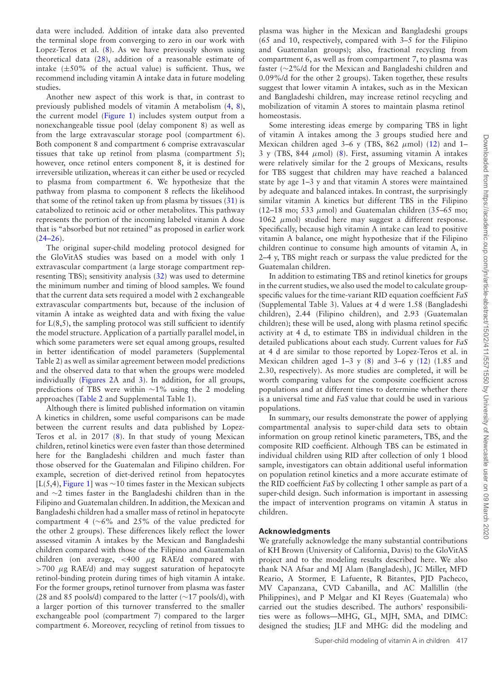data were included. Addition of intake data also prevented the terminal slope from converging to zero in our work with Lopez-Teros et al. [\(8\)](#page-7-7). As we have previously shown using theoretical data [\(28\)](#page-7-23), addition of a reasonable estimate of intake  $(\pm 50\%$  of the actual value) is sufficient. Thus, we recommend including vitamin A intake data in future modeling studies.

Another new aspect of this work is that, in contrast to previously published models of vitamin A metabolism [\(4,](#page-7-3) [8\)](#page-7-7), the current model [\(Figure 1\)](#page-2-0) includes system output from a nonexchangeable tissue pool (delay component 8) as well as from the large extravascular storage pool (compartment 6). Both component 8 and compartment 6 comprise extravascular tissues that take up retinol from plasma (compartment 5); however, once retinol enters component 8, it is destined for irreversible utilization, whereas it can either be used or recycled to plasma from compartment 6. We hypothesize that the pathway from plasma to component 8 reflects the likelihood that some of the retinol taken up from plasma by tissues  $(31)$  is catabolized to retinoic acid or other metabolites. This pathway represents the portion of the incoming labeled vitamin A dose that is "absorbed but not retained" as proposed in earlier work  $(24-26)$ .

The original super-child modeling protocol designed for the GloVitAS studies was based on a model with only 1 extravascular compartment (a large storage compartment representing TBS); sensitivity analysis [\(32\)](#page-7-27) was used to determine the minimum number and timing of blood samples. We found that the current data sets required a model with 2 exchangeable extravascular compartments but, because of the inclusion of vitamin A intake as weighted data and with fixing the value for  $L(8,5)$ , the sampling protocol was still sufficient to identify the model structure. Application of a partially parallel model, in which some parameters were set equal among groups, resulted in better identification of model parameters (Supplemental Table 2) as well as similar agreement between model predictions and the observed data to that when the groups were modeled individually [\(Figures 2A](#page-3-0) and [3\)](#page-3-1). In addition, for all groups, predictions of TBS were within ∼1% using the 2 modeling approaches [\(Table 2](#page-4-3) and Supplemental Table 1).

Although there is limited published information on vitamin A kinetics in children, some useful comparisons can be made between the current results and data published by Lopez-Teros et al. in 2017 [\(8\)](#page-7-7). In that study of young Mexican children, retinol kinetics were even faster than those determined here for the Bangladeshi children and much faster than those observed for the Guatemalan and Filipino children. For example, secretion of diet-derived retinol from hepatocytes [L(5,4), [Figure 1\]](#page-2-0) was ∼10 times faster in the Mexican subjects and ∼2 times faster in the Bangladeshi children than in the Filipino and Guatemalan children. In addition, the Mexican and Bangladeshi children had a smaller mass of retinol in hepatocyte compartment 4 (∼6% and 25% of the value predicted for the other 2 groups). These differences likely reflect the lower assessed vitamin A intakes by the Mexican and Bangladeshi children compared with those of the Filipino and Guatemalan children (on average,  $\lt$  400  $\mu$ g RAE/d compared with  $>700 \mu$ g RAE/d) and may suggest saturation of hepatocyte retinol-binding protein during times of high vitamin A intake. For the former groups, retinol turnover from plasma was faster (28 and 85 pools/d) compared to the latter (∼17 pools/d), with a larger portion of this turnover transferred to the smaller exchangeable pool (compartment 7) compared to the larger compartment 6. Moreover, recycling of retinol from tissues to plasma was higher in the Mexican and Bangladeshi groups (65 and 10, respectively, compared with 3–5 for the Filipino and Guatemalan groups); also, fractional recycling from compartment 6, as well as from compartment 7, to plasma was faster (∼2%/d for the Mexican and Bangladeshi children and 0.09%/d for the other 2 groups). Taken together, these results suggest that lower vitamin A intakes, such as in the Mexican and Bangladeshi children, may increase retinol recycling and mobilization of vitamin A stores to maintain plasma retinol homeostasis.

Some interesting ideas emerge by comparing TBS in light of vitamin A intakes among the 3 groups studied here and Mexican children aged 3–6 y (TBS,  $862 \mu$ mol) [\(12\)](#page-7-11) and 1– 3 y (TBS, 844  $\mu$ mol) [\(8\)](#page-7-7). First, assuming vitamin A intakes were relatively similar for the 2 groups of Mexicans, results for TBS suggest that children may have reached a balanced state by age 1–3 y and that vitamin A stores were maintained by adequate and balanced intakes. In contrast, the surprisingly similar vitamin A kinetics but different TBS in the Filipino (12–18 mo; 533  $\mu$ mol) and Guatemalan children (35–65 mo; 1062  $μ$ mol) studied here may suggest a different response. Specifically, because high vitamin A intake can lead to positive vitamin A balance, one might hypothesize that if the Filipino children continue to consume high amounts of vitamin A, in 2–4 y, TBS might reach or surpass the value predicted for the Guatemalan children.

In addition to estimating TBS and retinol kinetics for groups in the current studies, we also used the model to calculate groupspecific values for the time-variant RID equation coefficient *FaS* (Supplemental Table 3). Values at 4 d were 1.58 (Bangladeshi children), 2.44 (Filipino children), and 2.93 (Guatemalan children); these will be used, along with plasma retinol specific activity at 4 d, to estimate TBS in individual children in the detailed publications about each study. Current values for *FaS* at 4 d are similar to those reported by Lopez-Teros et al. in Mexican children aged  $1-3$  y  $(8)$  and  $3-6$  y  $(12)$   $(1.85$  and 2.30, respectively). As more studies are completed, it will be worth comparing values for the composite coefficient across populations and at different times to determine whether there is a universal time and *FaS* value that could be used in various populations.

In summary, our results demonstrate the power of applying compartmental analysis to super-child data sets to obtain information on group retinol kinetic parameters, TBS, and the composite RID coefficient. Although TBS can be estimated in individual children using RID after collection of only 1 blood sample, investigators can obtain additional useful information on population retinol kinetics and a more accurate estimate of the RID coefficient *FaS* by collecting 1 other sample as part of a super-child design. Such information is important in assessing the impact of intervention programs on vitamin A status in children.

#### **Acknowledgments**

We gratefully acknowledge the many substantial contributions of KH Brown (University of California, Davis) to the GloVitAS project and to the modeling results described here. We also thank NA Afsar and MJ Alam (Bangladesh), JC Miller, MFD Reario, A Stormer, E Lafuente, R Bitantes, PJD Pacheco, MV Capanzana, CVD Cabanilla, and AC Mallillin (the Philippines), and P Melgar and KI Reyes (Guatemala) who carried out the studies described. The authors' responsibilities were as follows—MHG, GL, MJH, SMA, and DIMC: designed the studies; JLF and MHG: did the modeling and